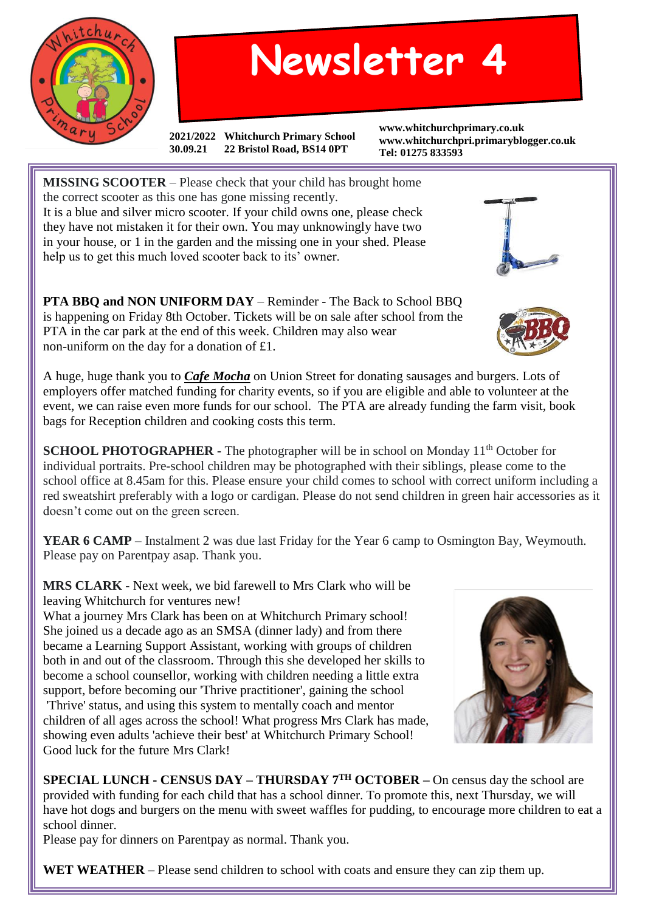

## **Newsletter 4**

**2021/2022 Whitchurch Primary School 30.09.21 22 Bristol Road, BS14 0PT**

**www.whitchurchprimary.co.uk www.whitchurchpri.primaryblogger.co.uk Tel: 01275 833593**



**PTA BBQ and NON UNIFORM DAY** – Reminder - The Back to School BBQ is happening on Friday 8th October. Tickets will be on sale after school from the PTA in the car park at the end of this week. Children may also wear non-uniform on the day for a donation of £1.

A huge, huge thank you to *Cafe Mocha* on Union Street for donating sausages and burgers. Lots of employers offer matched funding for charity events, so if you are eligible and able to volunteer at the event, we can raise even more funds for our school. The PTA are already funding the farm visit, book bags for Reception children and cooking costs this term.

**SCHOOL PHOTOGRAPHER -** The photographer will be in school on Monday 11<sup>th</sup> October for individual portraits. Pre-school children may be photographed with their siblings, please come to the school office at 8.45am for this. Please ensure your child comes to school with correct uniform including a red sweatshirt preferably with a logo or cardigan. Please do not send children in green hair accessories as it doesn't come out on the green screen.

**YEAR 6 CAMP** – Instalment 2 was due last Friday for the Year 6 camp to Osmington Bay, Weymouth. Please pay on Parentpay asap. Thank you.

**MRS CLARK -** Next week, we bid farewell to Mrs Clark who will be leaving Whitchurch for ventures new!

What a journey Mrs Clark has been on at Whitchurch Primary school! She joined us a decade ago as an SMSA (dinner lady) and from there became a Learning Support Assistant, working with groups of children both in and out of the classroom. Through this she developed her skills to become a school counsellor, working with children needing a little extra support, before becoming our 'Thrive practitioner', gaining the school

'Thrive' status, and using this system to mentally coach and mentor children of all ages across the school! What progress Mrs Clark has made, showing even adults 'achieve their best' at Whitchurch Primary School! Good luck for the future Mrs Clark!



**SPECIAL LUNCH - CENSUS DAY – THURSDAY 7TH OCTOBER –** On census day the school are provided with funding for each child that has a school dinner. To promote this, next Thursday, we will have hot dogs and burgers on the menu with sweet waffles for pudding, to encourage more children to eat a school dinner.

Please pay for dinners on Parentpay as normal. Thank you.

**WET WEATHER** – Please send children to school with coats and ensure they can zip them up.

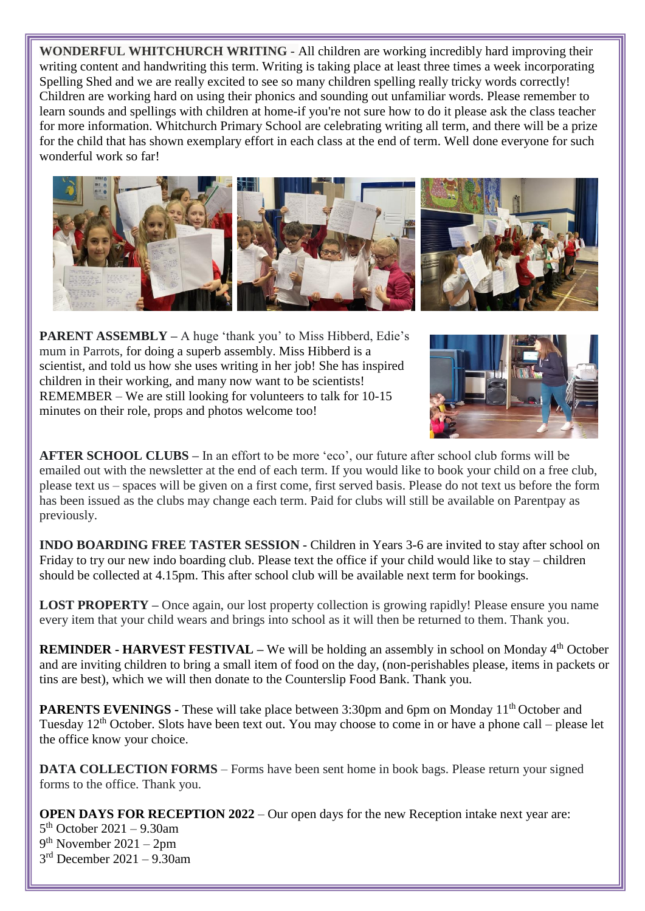**WONDERFUL WHITCHURCH WRITING -** All children are working incredibly hard improving their writing content and handwriting this term. Writing is taking place at least three times a week incorporating Spelling Shed and we are really excited to see so many children spelling really tricky words correctly! Children are working hard on using their phonics and sounding out unfamiliar words. Please remember to learn sounds and spellings with children at home-if you're not sure how to do it please ask the class teacher for more information. Whitchurch Primary School are celebrating writing all term, and there will be a prize for the child that has shown exemplary effort in each class at the end of term. Well done everyone for such wonderful work so far!



**PARENT ASSEMBLY –** A huge 'thank you' to Miss Hibberd, Edie's mum in Parrots, for doing a superb assembly. Miss Hibberd is a scientist, and told us how she uses writing in her job! She has inspired children in their working, and many now want to be scientists! REMEMBER – We are still looking for volunteers to talk for 10-15 minutes on their role, props and photos welcome too!



**AFTER SCHOOL CLUBS –** In an effort to be more 'eco', our future after school club forms will be emailed out with the newsletter at the end of each term. If you would like to book your child on a free club, please text us – spaces will be given on a first come, first served basis. Please do not text us before the form has been issued as the clubs may change each term. Paid for clubs will still be available on Parentpay as previously.

**INDO BOARDING FREE TASTER SESSION -** Children in Years 3-6 are invited to stay after school on Friday to try our new indo boarding club. Please text the office if your child would like to stay – children should be collected at 4.15pm. This after school club will be available next term for bookings.

**LOST PROPERTY** – Once again, our lost property collection is growing rapidly! Please ensure you name every item that your child wears and brings into school as it will then be returned to them. Thank you.

**REMINDER - HARVEST FESTIVAL** – We will be holding an assembly in school on Monday 4<sup>th</sup> October and are inviting children to bring a small item of food on the day, (non-perishables please, items in packets or tins are best), which we will then donate to the Counterslip Food Bank. Thank you.

**PARENTS EVENINGS -** These will take place between 3:30pm and 6pm on Monday 11<sup>th</sup> October and Tuesday  $12<sup>th</sup>$  October. Slots have been text out. You may choose to come in or have a phone call – please let the office know your choice.

**DATA COLLECTION FORMS** – Forms have been sent home in book bags. Please return your signed forms to the office. Thank you.

**OPEN DAYS FOR RECEPTION 2022** – Our open days for the new Reception intake next year are: th October 2021 – 9.30am th November 2021 – 2pm rd December 2021 – 9.30am